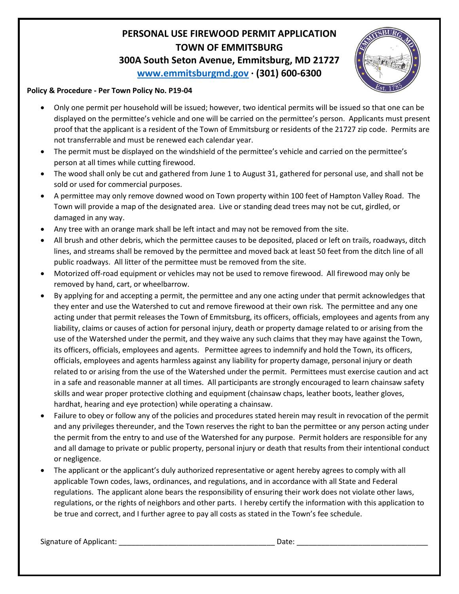## **PERSONAL USE FIREWOOD PERMIT APPLICATION TOWN OF EMMITSBURG 300A South Seton Avenue, Emmitsburg, MD 21727**





## **Policy & Procedure - Per Town Policy No. P19-04**

- Only one permit per household will be issued; however, two identical permits will be issued so that one can be displayed on the permittee's vehicle and one will be carried on the permittee's person. Applicants must present proof that the applicant is a resident of the Town of Emmitsburg or residents of the 21727 zip code. Permits are not transferrable and must be renewed each calendar year.
- The permit must be displayed on the windshield of the permittee's vehicle and carried on the permittee's person at all times while cutting firewood.
- The wood shall only be cut and gathered from June 1 to August 31, gathered for personal use, and shall not be sold or used for commercial purposes.
- A permittee may only remove downed wood on Town property within 100 feet of Hampton Valley Road. The Town will provide a map of the designated area. Live or standing dead trees may not be cut, girdled, or damaged in any way.
- Any tree with an orange mark shall be left intact and may not be removed from the site.
- All brush and other debris, which the permittee causes to be deposited, placed or left on trails, roadways, ditch lines, and streams shall be removed by the permittee and moved back at least 50 feet from the ditch line of all public roadways. All litter of the permittee must be removed from the site.
- Motorized off-road equipment or vehicles may not be used to remove firewood. All firewood may only be removed by hand, cart, or wheelbarrow.
- By applying for and accepting a permit, the permittee and any one acting under that permit acknowledges that they enter and use the Watershed to cut and remove firewood at their own risk. The permittee and any one acting under that permit releases the Town of Emmitsburg, its officers, officials, employees and agents from any liability, claims or causes of action for personal injury, death or property damage related to or arising from the use of the Watershed under the permit, and they waive any such claims that they may have against the Town, its officers, officials, employees and agents. Permittee agrees to indemnify and hold the Town, its officers, officials, employees and agents harmless against any liability for property damage, personal injury or death related to or arising from the use of the Watershed under the permit. Permittees must exercise caution and act in a safe and reasonable manner at all times. All participants are strongly encouraged to learn chainsaw safety skills and wear proper protective clothing and equipment (chainsaw chaps, leather boots, leather gloves, hardhat, hearing and eye protection) while operating a chainsaw.
- Failure to obey or follow any of the policies and procedures stated herein may result in revocation of the permit and any privileges thereunder, and the Town reserves the right to ban the permittee or any person acting under the permit from the entry to and use of the Watershed for any purpose. Permit holders are responsible for any and all damage to private or public property, personal injury or death that results from their intentional conduct or negligence.
- The applicant or the applicant's duly authorized representative or agent hereby agrees to comply with all applicable Town codes, laws, ordinances, and regulations, and in accordance with all State and Federal regulations. The applicant alone bears the responsibility of ensuring their work does not violate other laws, regulations, or the rights of neighbors and other parts. I hereby certify the information with this application to be true and correct, and I further agree to pay all costs as stated in the Town's fee schedule.

Signature of Applicant: example and the set of the set of the set of the set of the set of the set of the set o